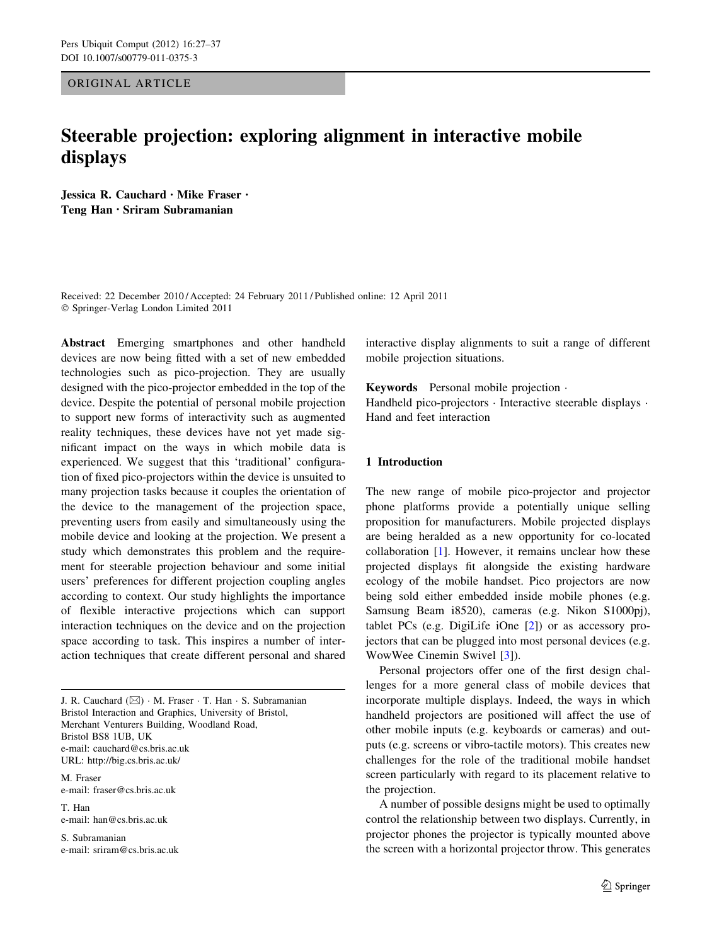ORIGINAL ARTICLE

# Steerable projection: exploring alignment in interactive mobile displays

Jessica R. Cauchard • Mike Fraser • Teng Han • Sriram Subramanian

Received: 22 December 2010 / Accepted: 24 February 2011 / Published online: 12 April 2011 - Springer-Verlag London Limited 2011

Abstract Emerging smartphones and other handheld devices are now being fitted with a set of new embedded technologies such as pico-projection. They are usually designed with the pico-projector embedded in the top of the device. Despite the potential of personal mobile projection to support new forms of interactivity such as augmented reality techniques, these devices have not yet made significant impact on the ways in which mobile data is experienced. We suggest that this 'traditional' configuration of fixed pico-projectors within the device is unsuited to many projection tasks because it couples the orientation of the device to the management of the projection space, preventing users from easily and simultaneously using the mobile device and looking at the projection. We present a study which demonstrates this problem and the requirement for steerable projection behaviour and some initial users' preferences for different projection coupling angles according to context. Our study highlights the importance of flexible interactive projections which can support interaction techniques on the device and on the projection space according to task. This inspires a number of interaction techniques that create different personal and shared

J. R. Cauchard  $(\boxtimes)$  · M. Fraser · T. Han · S. Subramanian Bristol Interaction and Graphics, University of Bristol, Merchant Venturers Building, Woodland Road, Bristol BS8 1UB, UK e-mail: cauchard@cs.bris.ac.uk URL: http://big.cs.bris.ac.uk/

M. Fraser e-mail: fraser@cs.bris.ac.uk

T. Han e-mail: han@cs.bris.ac.uk

S. Subramanian e-mail: sriram@cs.bris.ac.uk interactive display alignments to suit a range of different mobile projection situations.

Keywords Personal mobile projection -

Handheld pico-projectors · Interactive steerable displays · Hand and feet interaction

# 1 Introduction

The new range of mobile pico-projector and projector phone platforms provide a potentially unique selling proposition for manufacturers. Mobile projected displays are being heralded as a new opportunity for co-located collaboration [\[1](#page-9-0)]. However, it remains unclear how these projected displays fit alongside the existing hardware ecology of the mobile handset. Pico projectors are now being sold either embedded inside mobile phones (e.g. Samsung Beam i8520), cameras (e.g. Nikon S1000pj), tablet PCs (e.g. DigiLife iOne [\[2](#page-9-0)]) or as accessory projectors that can be plugged into most personal devices (e.g. WowWee Cinemin Swivel [[3\]](#page-9-0)).

Personal projectors offer one of the first design challenges for a more general class of mobile devices that incorporate multiple displays. Indeed, the ways in which handheld projectors are positioned will affect the use of other mobile inputs (e.g. keyboards or cameras) and outputs (e.g. screens or vibro-tactile motors). This creates new challenges for the role of the traditional mobile handset screen particularly with regard to its placement relative to the projection.

A number of possible designs might be used to optimally control the relationship between two displays. Currently, in projector phones the projector is typically mounted above the screen with a horizontal projector throw. This generates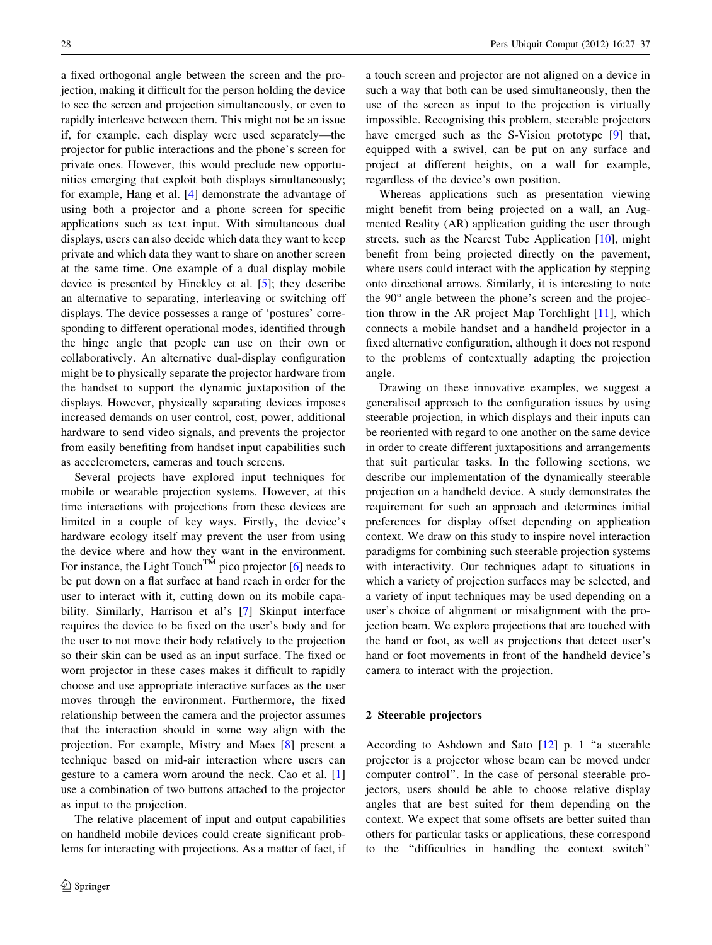a fixed orthogonal angle between the screen and the projection, making it difficult for the person holding the device to see the screen and projection simultaneously, or even to rapidly interleave between them. This might not be an issue if, for example, each display were used separately—the projector for public interactions and the phone's screen for private ones. However, this would preclude new opportunities emerging that exploit both displays simultaneously; for example, Hang et al. [\[4\]](#page-9-0) demonstrate the advantage of using both a projector and a phone screen for specific applications such as text input. With simultaneous dual displays, users can also decide which data they want to keep private and which data they want to share on another screen at the same time. One example of a dual display mobile device is presented by Hinckley et al. [[5\]](#page-9-0); they describe an alternative to separating, interleaving or switching off displays. The device possesses a range of 'postures' corresponding to different operational modes, identified through the hinge angle that people can use on their own or collaboratively. An alternative dual-display configuration might be to physically separate the projector hardware from the handset to support the dynamic juxtaposition of the displays. However, physically separating devices imposes increased demands on user control, cost, power, additional hardware to send video signals, and prevents the projector from easily benefiting from handset input capabilities such as accelerometers, cameras and touch screens.

Several projects have explored input techniques for mobile or wearable projection systems. However, at this time interactions with projections from these devices are limited in a couple of key ways. Firstly, the device's hardware ecology itself may prevent the user from using the device where and how they want in the environment. For instance, the Light Touch<sup>TM</sup> pico projector [\[6](#page-9-0)] needs to be put down on a flat surface at hand reach in order for the user to interact with it, cutting down on its mobile capability. Similarly, Harrison et al's [\[7](#page-9-0)] Skinput interface requires the device to be fixed on the user's body and for the user to not move their body relatively to the projection so their skin can be used as an input surface. The fixed or worn projector in these cases makes it difficult to rapidly choose and use appropriate interactive surfaces as the user moves through the environment. Furthermore, the fixed relationship between the camera and the projector assumes that the interaction should in some way align with the projection. For example, Mistry and Maes [\[8](#page-9-0)] present a technique based on mid-air interaction where users can gesture to a camera worn around the neck. Cao et al. [[1\]](#page-9-0) use a combination of two buttons attached to the projector as input to the projection.

The relative placement of input and output capabilities on handheld mobile devices could create significant problems for interacting with projections. As a matter of fact, if a touch screen and projector are not aligned on a device in such a way that both can be used simultaneously, then the use of the screen as input to the projection is virtually impossible. Recognising this problem, steerable projectors have emerged such as the S-Vision prototype [[9](#page-9-0)] that, equipped with a swivel, can be put on any surface and project at different heights, on a wall for example, regardless of the device's own position.

Whereas applications such as presentation viewing might benefit from being projected on a wall, an Augmented Reality (AR) application guiding the user through streets, such as the Nearest Tube Application [\[10](#page-9-0)], might benefit from being projected directly on the pavement, where users could interact with the application by stepping onto directional arrows. Similarly, it is interesting to note the  $90^\circ$  angle between the phone's screen and the projection throw in the AR project Map Torchlight [\[11](#page-9-0)], which connects a mobile handset and a handheld projector in a fixed alternative configuration, although it does not respond to the problems of contextually adapting the projection angle.

Drawing on these innovative examples, we suggest a generalised approach to the configuration issues by using steerable projection, in which displays and their inputs can be reoriented with regard to one another on the same device in order to create different juxtapositions and arrangements that suit particular tasks. In the following sections, we describe our implementation of the dynamically steerable projection on a handheld device. A study demonstrates the requirement for such an approach and determines initial preferences for display offset depending on application context. We draw on this study to inspire novel interaction paradigms for combining such steerable projection systems with interactivity. Our techniques adapt to situations in which a variety of projection surfaces may be selected, and a variety of input techniques may be used depending on a user's choice of alignment or misalignment with the projection beam. We explore projections that are touched with the hand or foot, as well as projections that detect user's hand or foot movements in front of the handheld device's camera to interact with the projection.

## 2 Steerable projectors

According to Ashdown and Sato [[12\]](#page-9-0) p. 1 ''a steerable projector is a projector whose beam can be moved under computer control''. In the case of personal steerable projectors, users should be able to choose relative display angles that are best suited for them depending on the context. We expect that some offsets are better suited than others for particular tasks or applications, these correspond to the ''difficulties in handling the context switch''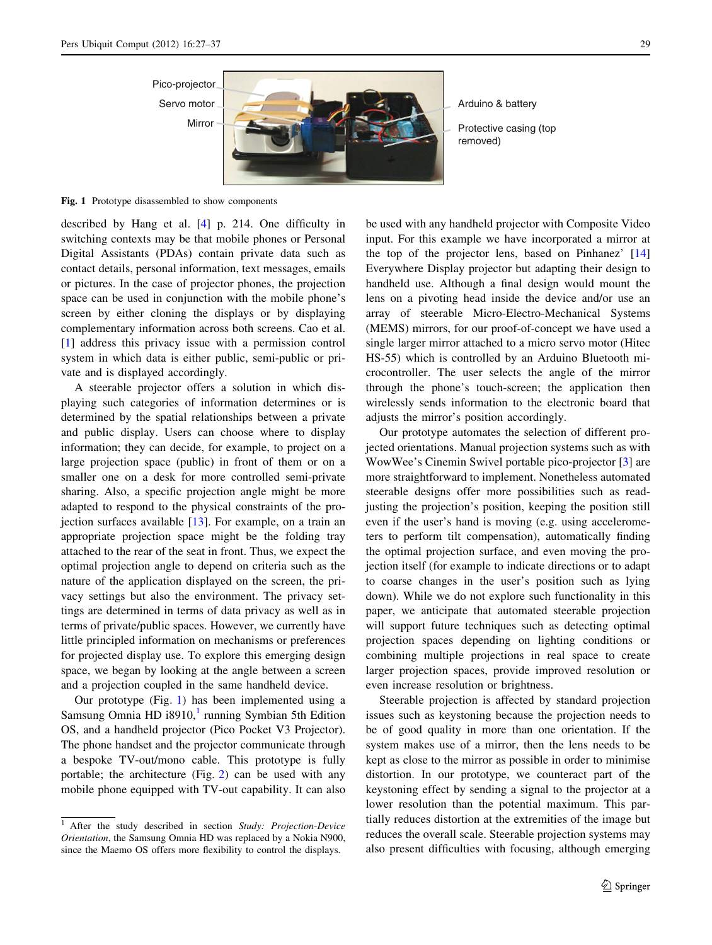Arduino & battery

Fig. 1 Prototype disassembled to show components

described by Hang et al. [\[4](#page-9-0)] p. 214. One difficulty in switching contexts may be that mobile phones or Personal Digital Assistants (PDAs) contain private data such as contact details, personal information, text messages, emails or pictures. In the case of projector phones, the projection space can be used in conjunction with the mobile phone's screen by either cloning the displays or by displaying complementary information across both screens. Cao et al. [\[1](#page-9-0)] address this privacy issue with a permission control system in which data is either public, semi-public or private and is displayed accordingly.

A steerable projector offers a solution in which displaying such categories of information determines or is determined by the spatial relationships between a private and public display. Users can choose where to display information; they can decide, for example, to project on a large projection space (public) in front of them or on a smaller one on a desk for more controlled semi-private sharing. Also, a specific projection angle might be more adapted to respond to the physical constraints of the projection surfaces available [[13\]](#page-9-0). For example, on a train an appropriate projection space might be the folding tray attached to the rear of the seat in front. Thus, we expect the optimal projection angle to depend on criteria such as the nature of the application displayed on the screen, the privacy settings but also the environment. The privacy settings are determined in terms of data privacy as well as in terms of private/public spaces. However, we currently have little principled information on mechanisms or preferences for projected display use. To explore this emerging design space, we began by looking at the angle between a screen and a projection coupled in the same handheld device.

Our prototype (Fig. 1) has been implemented using a Samsung Omnia HD  $i8910$ ,<sup>1</sup> running Symbian 5th Edition OS, and a handheld projector (Pico Pocket V3 Projector). The phone handset and the projector communicate through a bespoke TV-out/mono cable. This prototype is fully portable; the architecture (Fig. [2](#page-3-0)) can be used with any mobile phone equipped with TV-out capability. It can also be used with any handheld projector with Composite Video input. For this example we have incorporated a mirror at the top of the projector lens, based on Pinhanez' [[14\]](#page-9-0) Everywhere Display projector but adapting their design to handheld use. Although a final design would mount the lens on a pivoting head inside the device and/or use an array of steerable Micro-Electro-Mechanical Systems (MEMS) mirrors, for our proof-of-concept we have used a single larger mirror attached to a micro servo motor (Hitec HS-55) which is controlled by an Arduino Bluetooth microcontroller. The user selects the angle of the mirror through the phone's touch-screen; the application then wirelessly sends information to the electronic board that adjusts the mirror's position accordingly.

Our prototype automates the selection of different projected orientations. Manual projection systems such as with WowWee's Cinemin Swivel portable pico-projector [\[3](#page-9-0)] are more straightforward to implement. Nonetheless automated steerable designs offer more possibilities such as readjusting the projection's position, keeping the position still even if the user's hand is moving (e.g. using accelerometers to perform tilt compensation), automatically finding the optimal projection surface, and even moving the projection itself (for example to indicate directions or to adapt to coarse changes in the user's position such as lying down). While we do not explore such functionality in this paper, we anticipate that automated steerable projection will support future techniques such as detecting optimal projection spaces depending on lighting conditions or combining multiple projections in real space to create larger projection spaces, provide improved resolution or even increase resolution or brightness.

Steerable projection is affected by standard projection issues such as keystoning because the projection needs to be of good quality in more than one orientation. If the system makes use of a mirror, then the lens needs to be kept as close to the mirror as possible in order to minimise distortion. In our prototype, we counteract part of the keystoning effect by sending a signal to the projector at a lower resolution than the potential maximum. This partially reduces distortion at the extremities of the image but reduces the overall scale. Steerable projection systems may also present difficulties with focusing, although emerging

Protective casing (top removed)

<sup>&</sup>lt;sup>1</sup> After the study described in section Study: Projection-Device Orientation, the Samsung Omnia HD was replaced by a Nokia N900, since the Maemo OS offers more flexibility to control the displays.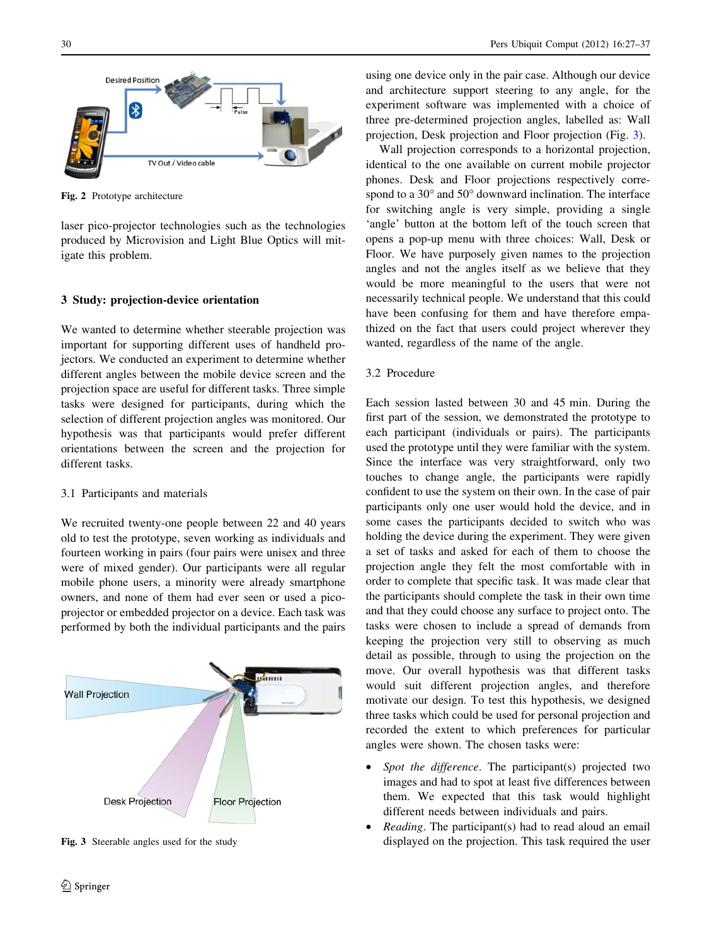<span id="page-3-0"></span>

Fig. 2 Prototype architecture

laser pico-projector technologies such as the technologies produced by Microvision and Light Blue Optics will mitigate this problem.

## 3 Study: projection-device orientation

We wanted to determine whether steerable projection was important for supporting different uses of handheld projectors. We conducted an experiment to determine whether different angles between the mobile device screen and the projection space are useful for different tasks. Three simple tasks were designed for participants, during which the selection of different projection angles was monitored. Our hypothesis was that participants would prefer different orientations between the screen and the projection for different tasks.

## 3.1 Participants and materials

We recruited twenty-one people between 22 and 40 years old to test the prototype, seven working as individuals and fourteen working in pairs (four pairs were unisex and three were of mixed gender). Our participants were all regular mobile phone users, a minority were already smartphone owners, and none of them had ever seen or used a picoprojector or embedded projector on a device. Each task was performed by both the individual participants and the pairs



Fig. 3 Steerable angles used for the study

using one device only in the pair case. Although our device and architecture support steering to any angle, for the experiment software was implemented with a choice of three pre-determined projection angles, labelled as: Wall projection, Desk projection and Floor projection (Fig. 3).

Wall projection corresponds to a horizontal projection, identical to the one available on current mobile projector phones. Desk and Floor projections respectively correspond to a  $30^{\circ}$  and  $50^{\circ}$  downward inclination. The interface for switching angle is very simple, providing a single 'angle' button at the bottom left of the touch screen that opens a pop-up menu with three choices: Wall, Desk or Floor. We have purposely given names to the projection angles and not the angles itself as we believe that they would be more meaningful to the users that were not necessarily technical people. We understand that this could have been confusing for them and have therefore empathized on the fact that users could project wherever they wanted, regardless of the name of the angle.

## 3.2 Procedure

Each session lasted between 30 and 45 min. During the first part of the session, we demonstrated the prototype to each participant (individuals or pairs). The participants used the prototype until they were familiar with the system. Since the interface was very straightforward, only two touches to change angle, the participants were rapidly confident to use the system on their own. In the case of pair participants only one user would hold the device, and in some cases the participants decided to switch who was holding the device during the experiment. They were given a set of tasks and asked for each of them to choose the projection angle they felt the most comfortable with in order to complete that specific task. It was made clear that the participants should complete the task in their own time and that they could choose any surface to project onto. The tasks were chosen to include a spread of demands from keeping the projection very still to observing as much detail as possible, through to using the projection on the move. Our overall hypothesis was that different tasks would suit different projection angles, and therefore motivate our design. To test this hypothesis, we designed three tasks which could be used for personal projection and recorded the extent to which preferences for particular angles were shown. The chosen tasks were:

- Spot the difference. The participant(s) projected two images and had to spot at least five differences between them. We expected that this task would highlight different needs between individuals and pairs.
- *Reading*. The participant(s) had to read aloud an email displayed on the projection. This task required the user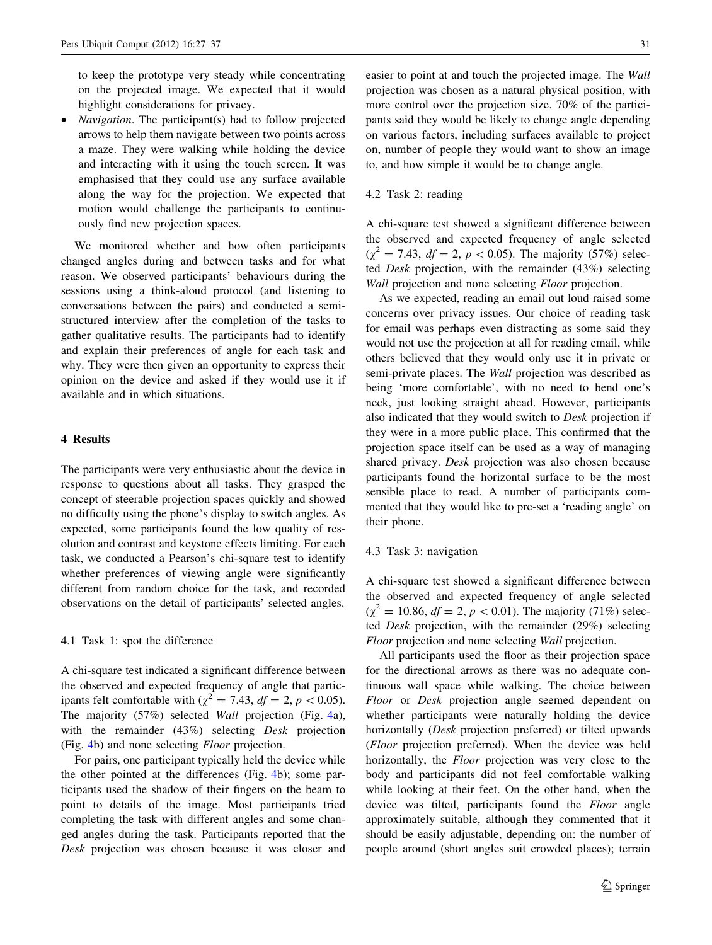to keep the prototype very steady while concentrating on the projected image. We expected that it would highlight considerations for privacy.

• Navigation. The participant(s) had to follow projected arrows to help them navigate between two points across a maze. They were walking while holding the device and interacting with it using the touch screen. It was emphasised that they could use any surface available along the way for the projection. We expected that motion would challenge the participants to continuously find new projection spaces.

We monitored whether and how often participants changed angles during and between tasks and for what reason. We observed participants' behaviours during the sessions using a think-aloud protocol (and listening to conversations between the pairs) and conducted a semistructured interview after the completion of the tasks to gather qualitative results. The participants had to identify and explain their preferences of angle for each task and why. They were then given an opportunity to express their opinion on the device and asked if they would use it if available and in which situations.

## 4 Results

The participants were very enthusiastic about the device in response to questions about all tasks. They grasped the concept of steerable projection spaces quickly and showed no difficulty using the phone's display to switch angles. As expected, some participants found the low quality of resolution and contrast and keystone effects limiting. For each task, we conducted a Pearson's chi-square test to identify whether preferences of viewing angle were significantly different from random choice for the task, and recorded observations on the detail of participants' selected angles.

#### 4.1 Task 1: spot the difference

A chi-square test indicated a significant difference between the observed and expected frequency of angle that participants felt comfortable with ( $\chi^2 = 7.43$ ,  $df = 2$ ,  $p < 0.05$ ). The majority (57%) selected Wall projection (Fig. [4a](#page-5-0)), with the remainder (43%) selecting *Desk* projection (Fig. [4](#page-5-0)b) and none selecting Floor projection.

For pairs, one participant typically held the device while the other pointed at the differences (Fig. [4b](#page-5-0)); some participants used the shadow of their fingers on the beam to point to details of the image. Most participants tried completing the task with different angles and some changed angles during the task. Participants reported that the Desk projection was chosen because it was closer and easier to point at and touch the projected image. The Wall projection was chosen as a natural physical position, with more control over the projection size. 70% of the participants said they would be likely to change angle depending on various factors, including surfaces available to project on, number of people they would want to show an image to, and how simple it would be to change angle.

# 4.2 Task 2: reading

A chi-square test showed a significant difference between the observed and expected frequency of angle selected  $(\chi^2 = 7.43, df = 2, p < 0.05)$ . The majority (57%) selected Desk projection, with the remainder (43%) selecting Wall projection and none selecting *Floor* projection.

As we expected, reading an email out loud raised some concerns over privacy issues. Our choice of reading task for email was perhaps even distracting as some said they would not use the projection at all for reading email, while others believed that they would only use it in private or semi-private places. The Wall projection was described as being 'more comfortable', with no need to bend one's neck, just looking straight ahead. However, participants also indicated that they would switch to Desk projection if they were in a more public place. This confirmed that the projection space itself can be used as a way of managing shared privacy. Desk projection was also chosen because participants found the horizontal surface to be the most sensible place to read. A number of participants commented that they would like to pre-set a 'reading angle' on their phone.

#### 4.3 Task 3: navigation

A chi-square test showed a significant difference between the observed and expected frequency of angle selected  $\left(\chi^2 = 10.86, df = 2, p < 0.01\right)$ . The majority (71%) selected Desk projection, with the remainder (29%) selecting Floor projection and none selecting Wall projection.

All participants used the floor as their projection space for the directional arrows as there was no adequate continuous wall space while walking. The choice between Floor or Desk projection angle seemed dependent on whether participants were naturally holding the device horizontally (Desk projection preferred) or tilted upwards (Floor projection preferred). When the device was held horizontally, the Floor projection was very close to the body and participants did not feel comfortable walking while looking at their feet. On the other hand, when the device was tilted, participants found the *Floor* angle approximately suitable, although they commented that it should be easily adjustable, depending on: the number of people around (short angles suit crowded places); terrain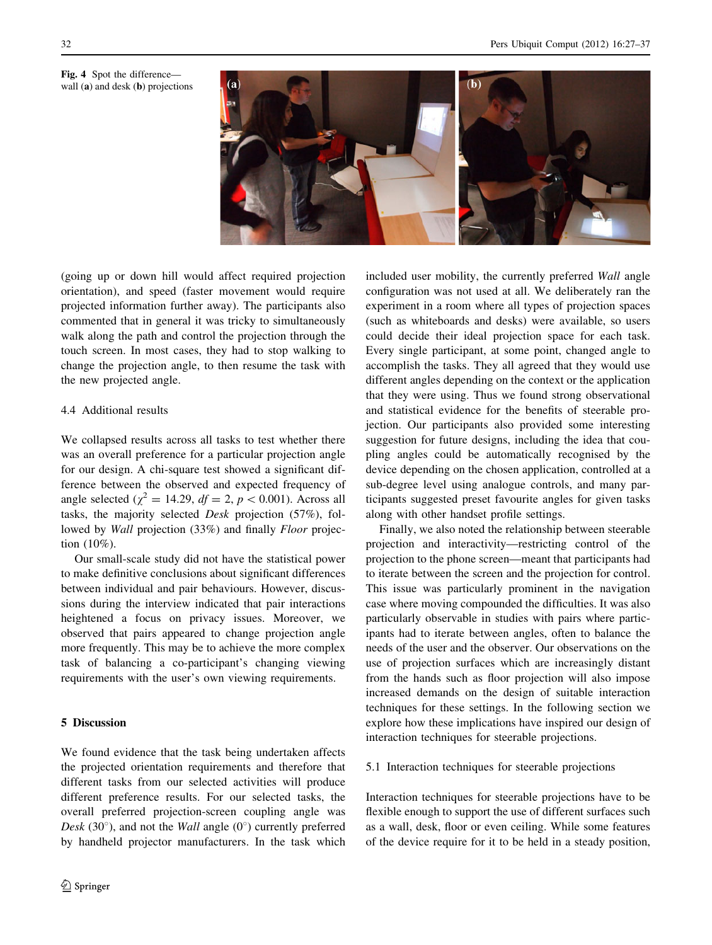<span id="page-5-0"></span>

(going up or down hill would affect required projection orientation), and speed (faster movement would require projected information further away). The participants also commented that in general it was tricky to simultaneously walk along the path and control the projection through the touch screen. In most cases, they had to stop walking to change the projection angle, to then resume the task with the new projected angle.

# 4.4 Additional results

We collapsed results across all tasks to test whether there was an overall preference for a particular projection angle for our design. A chi-square test showed a significant difference between the observed and expected frequency of angle selected ( $\chi^2 = 14.29$ ,  $df = 2$ ,  $p < 0.001$ ). Across all tasks, the majority selected Desk projection (57%), followed by *Wall* projection (33%) and finally *Floor* projection (10%).

Our small-scale study did not have the statistical power to make definitive conclusions about significant differences between individual and pair behaviours. However, discussions during the interview indicated that pair interactions heightened a focus on privacy issues. Moreover, we observed that pairs appeared to change projection angle more frequently. This may be to achieve the more complex task of balancing a co-participant's changing viewing requirements with the user's own viewing requirements.

# 5 Discussion

We found evidence that the task being undertaken affects the projected orientation requirements and therefore that different tasks from our selected activities will produce different preference results. For our selected tasks, the overall preferred projection-screen coupling angle was Desk (30 $^{\circ}$ ), and not the Wall angle (0 $^{\circ}$ ) currently preferred by handheld projector manufacturers. In the task which included user mobility, the currently preferred Wall angle configuration was not used at all. We deliberately ran the experiment in a room where all types of projection spaces (such as whiteboards and desks) were available, so users could decide their ideal projection space for each task. Every single participant, at some point, changed angle to accomplish the tasks. They all agreed that they would use different angles depending on the context or the application that they were using. Thus we found strong observational and statistical evidence for the benefits of steerable projection. Our participants also provided some interesting suggestion for future designs, including the idea that coupling angles could be automatically recognised by the device depending on the chosen application, controlled at a sub-degree level using analogue controls, and many participants suggested preset favourite angles for given tasks along with other handset profile settings.

Finally, we also noted the relationship between steerable projection and interactivity—restricting control of the projection to the phone screen—meant that participants had to iterate between the screen and the projection for control. This issue was particularly prominent in the navigation case where moving compounded the difficulties. It was also particularly observable in studies with pairs where participants had to iterate between angles, often to balance the needs of the user and the observer. Our observations on the use of projection surfaces which are increasingly distant from the hands such as floor projection will also impose increased demands on the design of suitable interaction techniques for these settings. In the following section we explore how these implications have inspired our design of interaction techniques for steerable projections.

## 5.1 Interaction techniques for steerable projections

Interaction techniques for steerable projections have to be flexible enough to support the use of different surfaces such as a wall, desk, floor or even ceiling. While some features of the device require for it to be held in a steady position,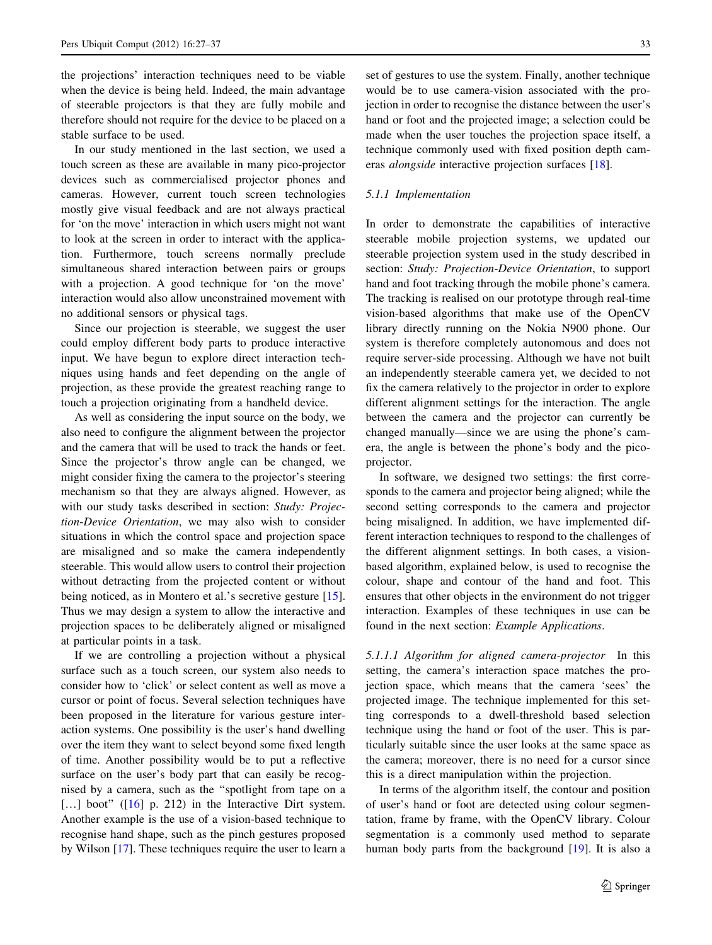the projections' interaction techniques need to be viable when the device is being held. Indeed, the main advantage of steerable projectors is that they are fully mobile and therefore should not require for the device to be placed on a stable surface to be used.

In our study mentioned in the last section, we used a touch screen as these are available in many pico-projector devices such as commercialised projector phones and cameras. However, current touch screen technologies mostly give visual feedback and are not always practical for 'on the move' interaction in which users might not want to look at the screen in order to interact with the application. Furthermore, touch screens normally preclude simultaneous shared interaction between pairs or groups with a projection. A good technique for 'on the move' interaction would also allow unconstrained movement with no additional sensors or physical tags.

Since our projection is steerable, we suggest the user could employ different body parts to produce interactive input. We have begun to explore direct interaction techniques using hands and feet depending on the angle of projection, as these provide the greatest reaching range to touch a projection originating from a handheld device.

As well as considering the input source on the body, we also need to configure the alignment between the projector and the camera that will be used to track the hands or feet. Since the projector's throw angle can be changed, we might consider fixing the camera to the projector's steering mechanism so that they are always aligned. However, as with our study tasks described in section: Study: Projection-Device Orientation, we may also wish to consider situations in which the control space and projection space are misaligned and so make the camera independently steerable. This would allow users to control their projection without detracting from the projected content or without being noticed, as in Montero et al.'s secretive gesture [\[15](#page-9-0)]. Thus we may design a system to allow the interactive and projection spaces to be deliberately aligned or misaligned at particular points in a task.

If we are controlling a projection without a physical surface such as a touch screen, our system also needs to consider how to 'click' or select content as well as move a cursor or point of focus. Several selection techniques have been proposed in the literature for various gesture interaction systems. One possibility is the user's hand dwelling over the item they want to select beyond some fixed length of time. Another possibility would be to put a reflective surface on the user's body part that can easily be recognised by a camera, such as the ''spotlight from tape on a [...] boot"  $(16)$  p. 212) in the Interactive Dirt system. Another example is the use of a vision-based technique to recognise hand shape, such as the pinch gestures proposed by Wilson [[17\]](#page-10-0). These techniques require the user to learn a set of gestures to use the system. Finally, another technique would be to use camera-vision associated with the projection in order to recognise the distance between the user's hand or foot and the projected image; a selection could be made when the user touches the projection space itself, a technique commonly used with fixed position depth cameras alongside interactive projection surfaces [[18\]](#page-10-0).

## 5.1.1 Implementation

In order to demonstrate the capabilities of interactive steerable mobile projection systems, we updated our steerable projection system used in the study described in section: Study: Projection-Device Orientation, to support hand and foot tracking through the mobile phone's camera. The tracking is realised on our prototype through real-time vision-based algorithms that make use of the OpenCV library directly running on the Nokia N900 phone. Our system is therefore completely autonomous and does not require server-side processing. Although we have not built an independently steerable camera yet, we decided to not fix the camera relatively to the projector in order to explore different alignment settings for the interaction. The angle between the camera and the projector can currently be changed manually—since we are using the phone's camera, the angle is between the phone's body and the picoprojector.

In software, we designed two settings: the first corresponds to the camera and projector being aligned; while the second setting corresponds to the camera and projector being misaligned. In addition, we have implemented different interaction techniques to respond to the challenges of the different alignment settings. In both cases, a visionbased algorithm, explained below, is used to recognise the colour, shape and contour of the hand and foot. This ensures that other objects in the environment do not trigger interaction. Examples of these techniques in use can be found in the next section: Example Applications.

5.1.1.1 Algorithm for aligned camera-projector In this setting, the camera's interaction space matches the projection space, which means that the camera 'sees' the projected image. The technique implemented for this setting corresponds to a dwell-threshold based selection technique using the hand or foot of the user. This is particularly suitable since the user looks at the same space as the camera; moreover, there is no need for a cursor since this is a direct manipulation within the projection.

In terms of the algorithm itself, the contour and position of user's hand or foot are detected using colour segmentation, frame by frame, with the OpenCV library. Colour segmentation is a commonly used method to separate human body parts from the background [\[19](#page-10-0)]. It is also a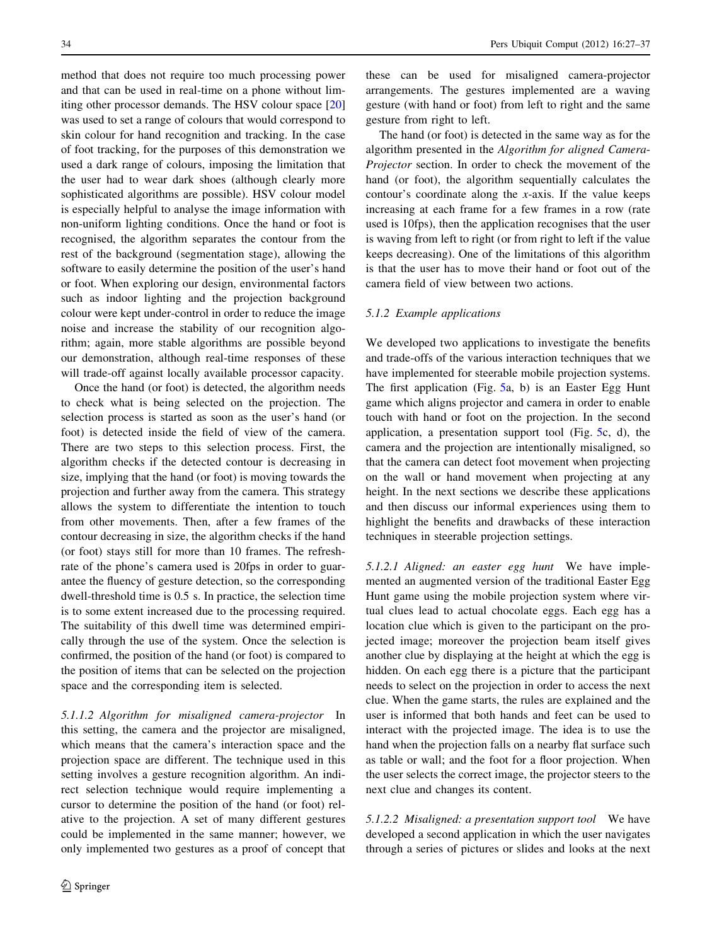method that does not require too much processing power and that can be used in real-time on a phone without limiting other processor demands. The HSV colour space [[20\]](#page-10-0) was used to set a range of colours that would correspond to skin colour for hand recognition and tracking. In the case of foot tracking, for the purposes of this demonstration we used a dark range of colours, imposing the limitation that the user had to wear dark shoes (although clearly more sophisticated algorithms are possible). HSV colour model is especially helpful to analyse the image information with non-uniform lighting conditions. Once the hand or foot is recognised, the algorithm separates the contour from the rest of the background (segmentation stage), allowing the software to easily determine the position of the user's hand or foot. When exploring our design, environmental factors such as indoor lighting and the projection background colour were kept under-control in order to reduce the image noise and increase the stability of our recognition algorithm; again, more stable algorithms are possible beyond our demonstration, although real-time responses of these will trade-off against locally available processor capacity.

Once the hand (or foot) is detected, the algorithm needs to check what is being selected on the projection. The selection process is started as soon as the user's hand (or foot) is detected inside the field of view of the camera. There are two steps to this selection process. First, the algorithm checks if the detected contour is decreasing in size, implying that the hand (or foot) is moving towards the projection and further away from the camera. This strategy allows the system to differentiate the intention to touch from other movements. Then, after a few frames of the contour decreasing in size, the algorithm checks if the hand (or foot) stays still for more than 10 frames. The refreshrate of the phone's camera used is 20fps in order to guarantee the fluency of gesture detection, so the corresponding dwell-threshold time is 0.5 s. In practice, the selection time is to some extent increased due to the processing required. The suitability of this dwell time was determined empirically through the use of the system. Once the selection is confirmed, the position of the hand (or foot) is compared to the position of items that can be selected on the projection space and the corresponding item is selected.

5.1.1.2 Algorithm for misaligned camera-projector In this setting, the camera and the projector are misaligned, which means that the camera's interaction space and the projection space are different. The technique used in this setting involves a gesture recognition algorithm. An indirect selection technique would require implementing a cursor to determine the position of the hand (or foot) relative to the projection. A set of many different gestures could be implemented in the same manner; however, we only implemented two gestures as a proof of concept that

these can be used for misaligned camera-projector arrangements. The gestures implemented are a waving gesture (with hand or foot) from left to right and the same gesture from right to left.

The hand (or foot) is detected in the same way as for the algorithm presented in the Algorithm for aligned Camera-Projector section. In order to check the movement of the hand (or foot), the algorithm sequentially calculates the contour's coordinate along the  $x$ -axis. If the value keeps increasing at each frame for a few frames in a row (rate used is 10fps), then the application recognises that the user is waving from left to right (or from right to left if the value keeps decreasing). One of the limitations of this algorithm is that the user has to move their hand or foot out of the camera field of view between two actions.

## 5.1.2 Example applications

We developed two applications to investigate the benefits and trade-offs of the various interaction techniques that we have implemented for steerable mobile projection systems. The first application (Fig. [5](#page-8-0)a, b) is an Easter Egg Hunt game which aligns projector and camera in order to enable touch with hand or foot on the projection. In the second application, a presentation support tool (Fig. [5](#page-8-0)c, d), the camera and the projection are intentionally misaligned, so that the camera can detect foot movement when projecting on the wall or hand movement when projecting at any height. In the next sections we describe these applications and then discuss our informal experiences using them to highlight the benefits and drawbacks of these interaction techniques in steerable projection settings.

5.1.2.1 Aligned: an easter egg hunt We have implemented an augmented version of the traditional Easter Egg Hunt game using the mobile projection system where virtual clues lead to actual chocolate eggs. Each egg has a location clue which is given to the participant on the projected image; moreover the projection beam itself gives another clue by displaying at the height at which the egg is hidden. On each egg there is a picture that the participant needs to select on the projection in order to access the next clue. When the game starts, the rules are explained and the user is informed that both hands and feet can be used to interact with the projected image. The idea is to use the hand when the projection falls on a nearby flat surface such as table or wall; and the foot for a floor projection. When the user selects the correct image, the projector steers to the next clue and changes its content.

5.1.2.2 Misaligned: a presentation support tool We have developed a second application in which the user navigates through a series of pictures or slides and looks at the next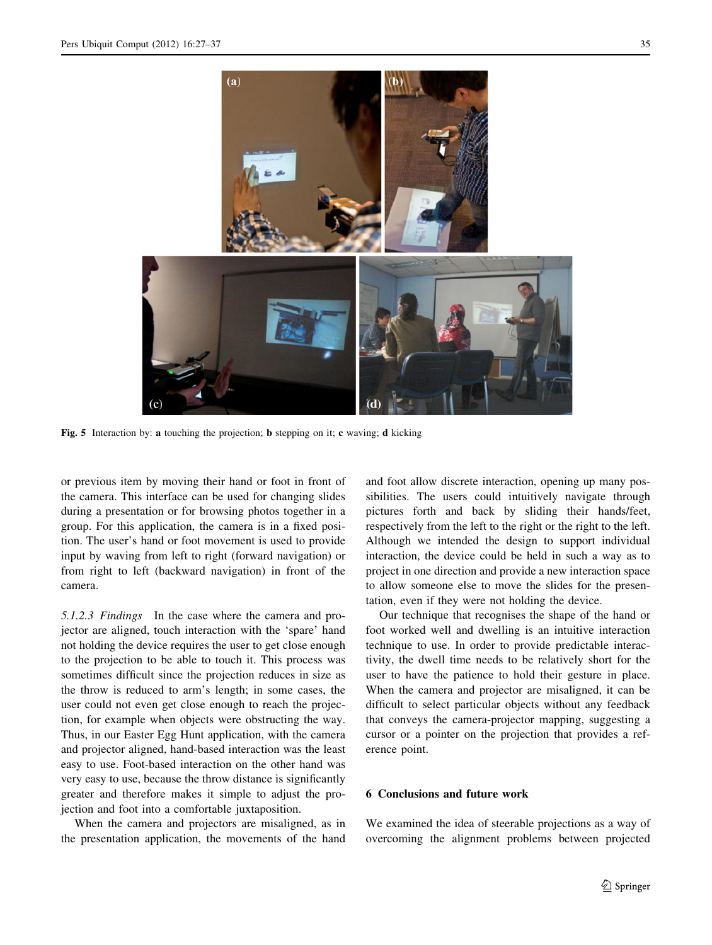<span id="page-8-0"></span>

Fig. 5 Interaction by: a touching the projection; b stepping on it; c waving; d kicking

or previous item by moving their hand or foot in front of the camera. This interface can be used for changing slides during a presentation or for browsing photos together in a group. For this application, the camera is in a fixed position. The user's hand or foot movement is used to provide input by waving from left to right (forward navigation) or from right to left (backward navigation) in front of the camera.

5.1.2.3 Findings In the case where the camera and projector are aligned, touch interaction with the 'spare' hand not holding the device requires the user to get close enough to the projection to be able to touch it. This process was sometimes difficult since the projection reduces in size as the throw is reduced to arm's length; in some cases, the user could not even get close enough to reach the projection, for example when objects were obstructing the way. Thus, in our Easter Egg Hunt application, with the camera and projector aligned, hand-based interaction was the least easy to use. Foot-based interaction on the other hand was very easy to use, because the throw distance is significantly greater and therefore makes it simple to adjust the projection and foot into a comfortable juxtaposition.

When the camera and projectors are misaligned, as in the presentation application, the movements of the hand and foot allow discrete interaction, opening up many possibilities. The users could intuitively navigate through pictures forth and back by sliding their hands/feet, respectively from the left to the right or the right to the left. Although we intended the design to support individual interaction, the device could be held in such a way as to project in one direction and provide a new interaction space to allow someone else to move the slides for the presentation, even if they were not holding the device.

Our technique that recognises the shape of the hand or foot worked well and dwelling is an intuitive interaction technique to use. In order to provide predictable interactivity, the dwell time needs to be relatively short for the user to have the patience to hold their gesture in place. When the camera and projector are misaligned, it can be difficult to select particular objects without any feedback that conveys the camera-projector mapping, suggesting a cursor or a pointer on the projection that provides a reference point.

## 6 Conclusions and future work

We examined the idea of steerable projections as a way of overcoming the alignment problems between projected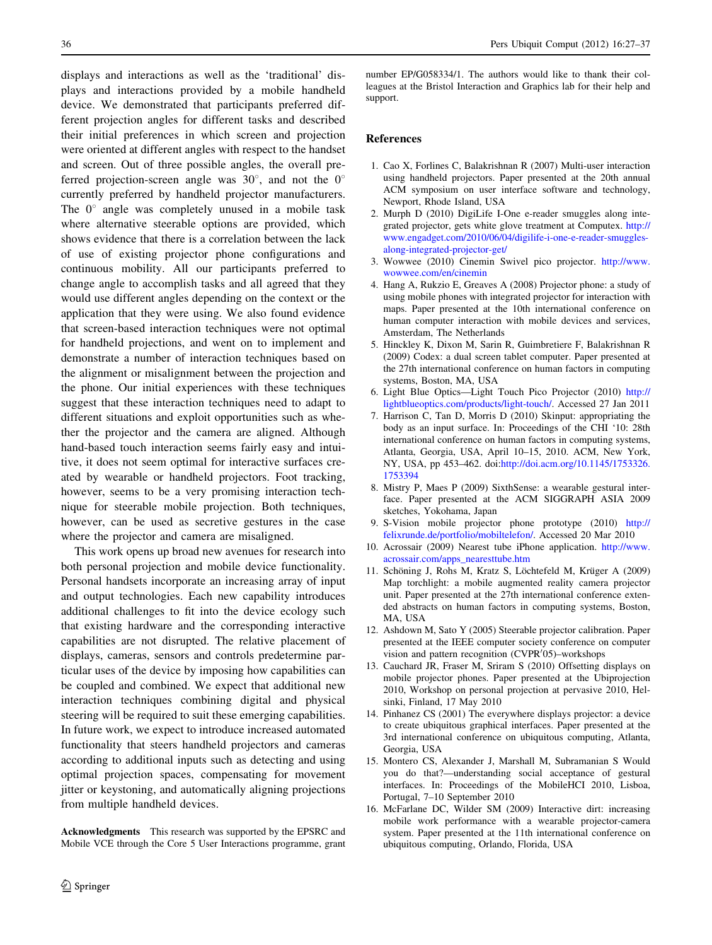<span id="page-9-0"></span>displays and interactions as well as the 'traditional' displays and interactions provided by a mobile handheld device. We demonstrated that participants preferred different projection angles for different tasks and described their initial preferences in which screen and projection were oriented at different angles with respect to the handset and screen. Out of three possible angles, the overall preferred projection-screen angle was  $30^{\circ}$ , and not the  $0^{\circ}$ currently preferred by handheld projector manufacturers. The  $0^{\circ}$  angle was completely unused in a mobile task where alternative steerable options are provided, which shows evidence that there is a correlation between the lack of use of existing projector phone configurations and continuous mobility. All our participants preferred to change angle to accomplish tasks and all agreed that they would use different angles depending on the context or the application that they were using. We also found evidence that screen-based interaction techniques were not optimal for handheld projections, and went on to implement and demonstrate a number of interaction techniques based on the alignment or misalignment between the projection and the phone. Our initial experiences with these techniques suggest that these interaction techniques need to adapt to different situations and exploit opportunities such as whether the projector and the camera are aligned. Although hand-based touch interaction seems fairly easy and intuitive, it does not seem optimal for interactive surfaces created by wearable or handheld projectors. Foot tracking, however, seems to be a very promising interaction technique for steerable mobile projection. Both techniques, however, can be used as secretive gestures in the case where the projector and camera are misaligned.

This work opens up broad new avenues for research into both personal projection and mobile device functionality. Personal handsets incorporate an increasing array of input and output technologies. Each new capability introduces additional challenges to fit into the device ecology such that existing hardware and the corresponding interactive capabilities are not disrupted. The relative placement of displays, cameras, sensors and controls predetermine particular uses of the device by imposing how capabilities can be coupled and combined. We expect that additional new interaction techniques combining digital and physical steering will be required to suit these emerging capabilities. In future work, we expect to introduce increased automated functionality that steers handheld projectors and cameras according to additional inputs such as detecting and using optimal projection spaces, compensating for movement jitter or keystoning, and automatically aligning projections from multiple handheld devices.

Acknowledgments This research was supported by the EPSRC and Mobile VCE through the Core 5 User Interactions programme, grant

number EP/G058334/1. The authors would like to thank their colleagues at the Bristol Interaction and Graphics lab for their help and support.

## References

- 1. Cao X, Forlines C, Balakrishnan R (2007) Multi-user interaction using handheld projectors. Paper presented at the 20th annual ACM symposium on user interface software and technology, Newport, Rhode Island, USA
- 2. Murph D (2010) DigiLife I-One e-reader smuggles along integrated projector, gets white glove treatment at Computex. [http://](http://www.engadget.com/2010/06/04/digilife-i-one-e-reader-smuggles-along-integrated-projector-get/) [www.engadget.com/2010/06/04/digilife-i-one-e-reader-smuggles](http://www.engadget.com/2010/06/04/digilife-i-one-e-reader-smuggles-along-integrated-projector-get/)[along-integrated-projector-get/](http://www.engadget.com/2010/06/04/digilife-i-one-e-reader-smuggles-along-integrated-projector-get/)
- 3. Wowwee (2010) Cinemin Swivel pico projector. [http://www.](http://www.wowwee.com/en/cinemin) [wowwee.com/en/cinemin](http://www.wowwee.com/en/cinemin)
- 4. Hang A, Rukzio E, Greaves A (2008) Projector phone: a study of using mobile phones with integrated projector for interaction with maps. Paper presented at the 10th international conference on human computer interaction with mobile devices and services, Amsterdam, The Netherlands
- 5. Hinckley K, Dixon M, Sarin R, Guimbretiere F, Balakrishnan R (2009) Codex: a dual screen tablet computer. Paper presented at the 27th international conference on human factors in computing systems, Boston, MA, USA
- 6. Light Blue Optics—Light Touch Pico Projector (2010) [http://](http://lightblueoptics.com/products/light-touch/) [lightblueoptics.com/products/light-touch/.](http://lightblueoptics.com/products/light-touch/) Accessed 27 Jan 2011
- 7. Harrison C, Tan D, Morris D (2010) Skinput: appropriating the body as an input surface. In: Proceedings of the CHI '10: 28th international conference on human factors in computing systems, Atlanta, Georgia, USA, April 10–15, 2010. ACM, New York, NY, USA, pp 453–462. doi[:http://doi.acm.org/10.1145/1753326.](http://doi.acm.org/10.1145/1753326.1753394) [1753394](http://doi.acm.org/10.1145/1753326.1753394)
- 8. Mistry P, Maes P (2009) SixthSense: a wearable gestural interface. Paper presented at the ACM SIGGRAPH ASIA 2009 sketches, Yokohama, Japan
- 9. S-Vision mobile projector phone prototype (2010) [http://](http://felixrunde.de/portfolio/mobiltelefon/) [felixrunde.de/portfolio/mobiltelefon/](http://felixrunde.de/portfolio/mobiltelefon/). Accessed 20 Mar 2010
- 10. Acrossair (2009) Nearest tube iPhone application. [http://www.](http://www.acrossair.com/apps_nearesttube.htm) [acrossair.com/apps\\_nearesttube.htm](http://www.acrossair.com/apps_nearesttube.htm)
- 11. Schöning J, Rohs M, Kratz S, Löchtefeld M, Krüger A (2009) Map torchlight: a mobile augmented reality camera projector unit. Paper presented at the 27th international conference extended abstracts on human factors in computing systems, Boston, MA, USA
- 12. Ashdown M, Sato Y (2005) Steerable projector calibration. Paper presented at the IEEE computer society conference on computer vision and pattern recognition (CVPR'05)-workshops
- 13. Cauchard JR, Fraser M, Sriram S (2010) Offsetting displays on mobile projector phones. Paper presented at the Ubiprojection 2010, Workshop on personal projection at pervasive 2010, Helsinki, Finland, 17 May 2010
- 14. Pinhanez CS (2001) The everywhere displays projector: a device to create ubiquitous graphical interfaces. Paper presented at the 3rd international conference on ubiquitous computing, Atlanta, Georgia, USA
- 15. Montero CS, Alexander J, Marshall M, Subramanian S Would you do that?—understanding social acceptance of gestural interfaces. In: Proceedings of the MobileHCI 2010, Lisboa, Portugal, 7–10 September 2010
- 16. McFarlane DC, Wilder SM (2009) Interactive dirt: increasing mobile work performance with a wearable projector-camera system. Paper presented at the 11th international conference on ubiquitous computing, Orlando, Florida, USA